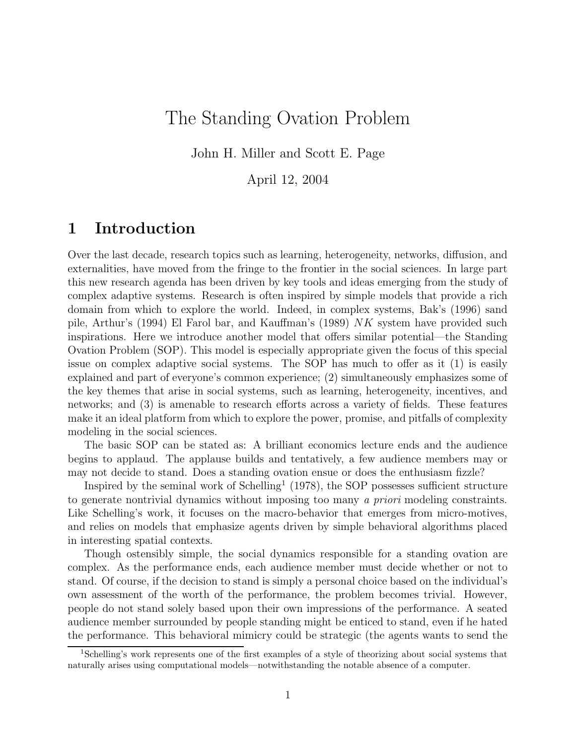# The Standing Ovation Problem

John H. Miller and Scott E. Page

April 12, 2004

### 1 Introduction

Over the last decade, research topics such as learning, heterogeneity, networks, diffusion, and externalities, have moved from the fringe to the frontier in the social sciences. In large part this new research agenda has been driven by key tools and ideas emerging from the study of complex adaptive systems. Research is often inspired by simple models that provide a rich domain from which to explore the world. Indeed, in complex systems, Bak's (1996) sand pile, Arthur's (1994) El Farol bar, and Kauffman's (1989) NK system have provided such inspirations. Here we introduce another model that offers similar potential—the Standing Ovation Problem (SOP). This model is especially appropriate given the focus of this special issue on complex adaptive social systems. The SOP has much to offer as it (1) is easily explained and part of everyone's common experience; (2) simultaneously emphasizes some of the key themes that arise in social systems, such as learning, heterogeneity, incentives, and networks; and (3) is amenable to research efforts across a variety of fields. These features make it an ideal platform from which to explore the power, promise, and pitfalls of complexity modeling in the social sciences.

The basic SOP can be stated as: A brilliant economics lecture ends and the audience begins to applaud. The applause builds and tentatively, a few audience members may or may not decide to stand. Does a standing ovation ensue or does the enthusiasm fizzle?

Inspired by the seminal work of  $Schelling<sup>1</sup>$  (1978), the SOP possesses sufficient structure to generate nontrivial dynamics without imposing too many a priori modeling constraints. Like Schelling's work, it focuses on the macro-behavior that emerges from micro-motives, and relies on models that emphasize agents driven by simple behavioral algorithms placed in interesting spatial contexts.

Though ostensibly simple, the social dynamics responsible for a standing ovation are complex. As the performance ends, each audience member must decide whether or not to stand. Of course, if the decision to stand is simply a personal choice based on the individual's own assessment of the worth of the performance, the problem becomes trivial. However, people do not stand solely based upon their own impressions of the performance. A seated audience member surrounded by people standing might be enticed to stand, even if he hated the performance. This behavioral mimicry could be strategic (the agents wants to send the

<sup>1</sup>Schelling's work represents one of the first examples of a style of theorizing about social systems that naturally arises using computational models—notwithstanding the notable absence of a computer.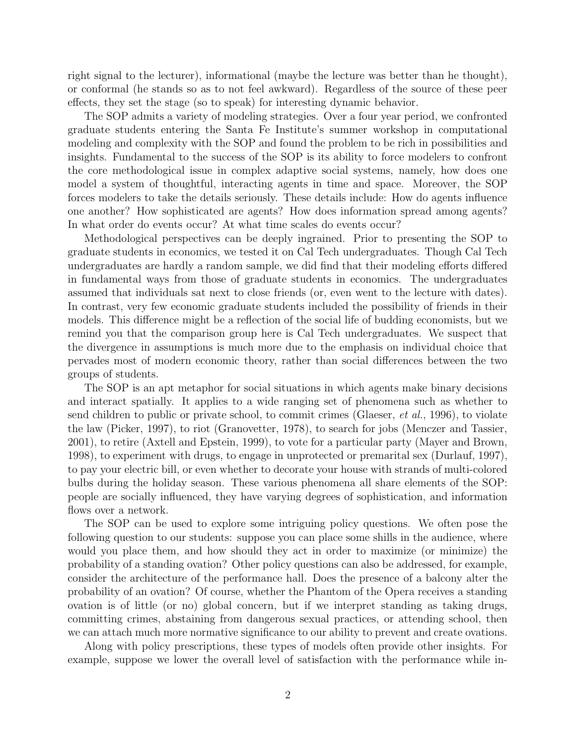right signal to the lecturer), informational (maybe the lecture was better than he thought), or conformal (he stands so as to not feel awkward). Regardless of the source of these peer effects, they set the stage (so to speak) for interesting dynamic behavior.

The SOP admits a variety of modeling strategies. Over a four year period, we confronted graduate students entering the Santa Fe Institute's summer workshop in computational modeling and complexity with the SOP and found the problem to be rich in possibilities and insights. Fundamental to the success of the SOP is its ability to force modelers to confront the core methodological issue in complex adaptive social systems, namely, how does one model a system of thoughtful, interacting agents in time and space. Moreover, the SOP forces modelers to take the details seriously. These details include: How do agents influence one another? How sophisticated are agents? How does information spread among agents? In what order do events occur? At what time scales do events occur?

Methodological perspectives can be deeply ingrained. Prior to presenting the SOP to graduate students in economics, we tested it on Cal Tech undergraduates. Though Cal Tech undergraduates are hardly a random sample, we did find that their modeling efforts differed in fundamental ways from those of graduate students in economics. The undergraduates assumed that individuals sat next to close friends (or, even went to the lecture with dates). In contrast, very few economic graduate students included the possibility of friends in their models. This difference might be a reflection of the social life of budding economists, but we remind you that the comparison group here is Cal Tech undergraduates. We suspect that the divergence in assumptions is much more due to the emphasis on individual choice that pervades most of modern economic theory, rather than social differences between the two groups of students.

The SOP is an apt metaphor for social situations in which agents make binary decisions and interact spatially. It applies to a wide ranging set of phenomena such as whether to send children to public or private school, to commit crimes (Glaeser, et al., 1996), to violate the law (Picker, 1997), to riot (Granovetter, 1978), to search for jobs (Menczer and Tassier, 2001), to retire (Axtell and Epstein, 1999), to vote for a particular party (Mayer and Brown, 1998), to experiment with drugs, to engage in unprotected or premarital sex (Durlauf, 1997), to pay your electric bill, or even whether to decorate your house with strands of multi-colored bulbs during the holiday season. These various phenomena all share elements of the SOP: people are socially influenced, they have varying degrees of sophistication, and information flows over a network.

The SOP can be used to explore some intriguing policy questions. We often pose the following question to our students: suppose you can place some shills in the audience, where would you place them, and how should they act in order to maximize (or minimize) the probability of a standing ovation? Other policy questions can also be addressed, for example, consider the architecture of the performance hall. Does the presence of a balcony alter the probability of an ovation? Of course, whether the Phantom of the Opera receives a standing ovation is of little (or no) global concern, but if we interpret standing as taking drugs, committing crimes, abstaining from dangerous sexual practices, or attending school, then we can attach much more normative significance to our ability to prevent and create ovations.

Along with policy prescriptions, these types of models often provide other insights. For example, suppose we lower the overall level of satisfaction with the performance while in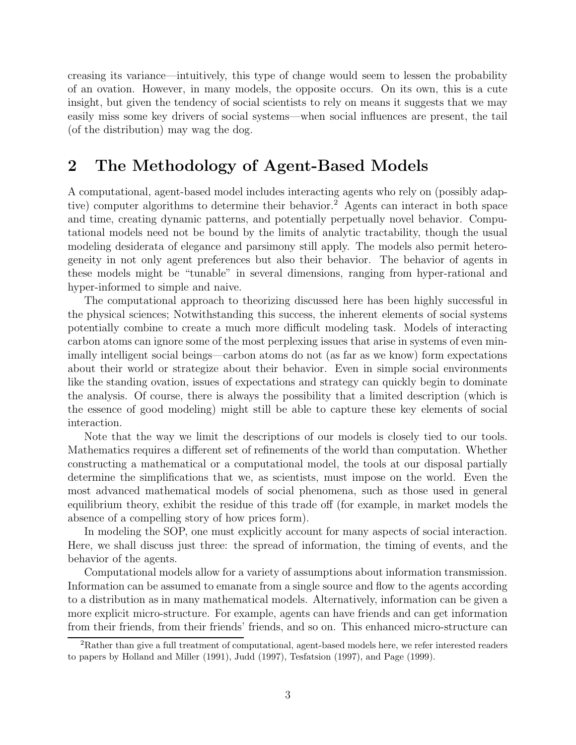creasing its variance—intuitively, this type of change would seem to lessen the probability of an ovation. However, in many models, the opposite occurs. On its own, this is a cute insight, but given the tendency of social scientists to rely on means it suggests that we may easily miss some key drivers of social systems—when social influences are present, the tail (of the distribution) may wag the dog.

### 2 The Methodology of Agent-Based Models

A computational, agent-based model includes interacting agents who rely on (possibly adaptive) computer algorithms to determine their behavior.<sup>2</sup> Agents can interact in both space and time, creating dynamic patterns, and potentially perpetually novel behavior. Computational models need not be bound by the limits of analytic tractability, though the usual modeling desiderata of elegance and parsimony still apply. The models also permit heterogeneity in not only agent preferences but also their behavior. The behavior of agents in these models might be "tunable" in several dimensions, ranging from hyper-rational and hyper-informed to simple and naive.

The computational approach to theorizing discussed here has been highly successful in the physical sciences; Notwithstanding this success, the inherent elements of social systems potentially combine to create a much more difficult modeling task. Models of interacting carbon atoms can ignore some of the most perplexing issues that arise in systems of even minimally intelligent social beings—carbon atoms do not (as far as we know) form expectations about their world or strategize about their behavior. Even in simple social environments like the standing ovation, issues of expectations and strategy can quickly begin to dominate the analysis. Of course, there is always the possibility that a limited description (which is the essence of good modeling) might still be able to capture these key elements of social interaction.

Note that the way we limit the descriptions of our models is closely tied to our tools. Mathematics requires a different set of refinements of the world than computation. Whether constructing a mathematical or a computational model, the tools at our disposal partially determine the simplifications that we, as scientists, must impose on the world. Even the most advanced mathematical models of social phenomena, such as those used in general equilibrium theory, exhibit the residue of this trade off (for example, in market models the absence of a compelling story of how prices form).

In modeling the SOP, one must explicitly account for many aspects of social interaction. Here, we shall discuss just three: the spread of information, the timing of events, and the behavior of the agents.

Computational models allow for a variety of assumptions about information transmission. Information can be assumed to emanate from a single source and flow to the agents according to a distribution as in many mathematical models. Alternatively, information can be given a more explicit micro-structure. For example, agents can have friends and can get information from their friends, from their friends' friends, and so on. This enhanced micro-structure can

<sup>&</sup>lt;sup>2</sup>Rather than give a full treatment of computational, agent-based models here, we refer interested readers to papers by Holland and Miller (1991), Judd (1997), Tesfatsion (1997), and Page (1999).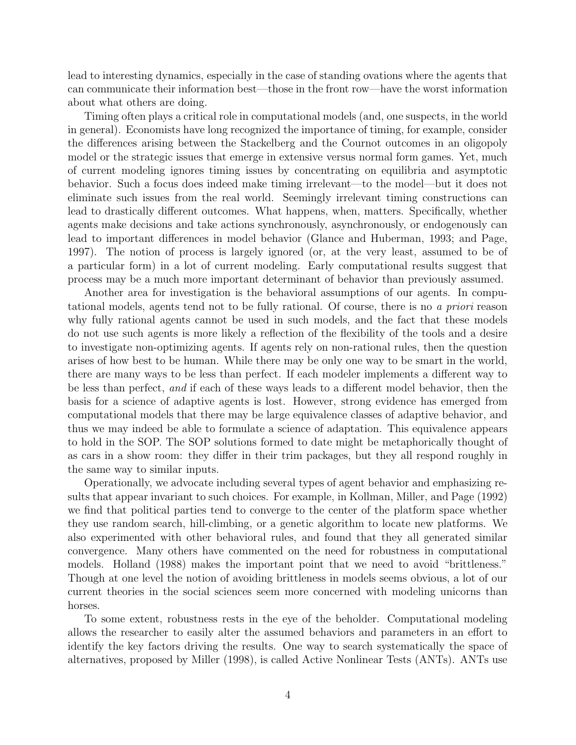lead to interesting dynamics, especially in the case of standing ovations where the agents that can communicate their information best—those in the front row—have the worst information about what others are doing.

Timing often plays a critical role in computational models (and, one suspects, in the world in general). Economists have long recognized the importance of timing, for example, consider the differences arising between the Stackelberg and the Cournot outcomes in an oligopoly model or the strategic issues that emerge in extensive versus normal form games. Yet, much of current modeling ignores timing issues by concentrating on equilibria and asymptotic behavior. Such a focus does indeed make timing irrelevant—to the model—but it does not eliminate such issues from the real world. Seemingly irrelevant timing constructions can lead to drastically different outcomes. What happens, when, matters. Specifically, whether agents make decisions and take actions synchronously, asynchronously, or endogenously can lead to important differences in model behavior (Glance and Huberman, 1993; and Page, 1997). The notion of process is largely ignored (or, at the very least, assumed to be of a particular form) in a lot of current modeling. Early computational results suggest that process may be a much more important determinant of behavior than previously assumed.

Another area for investigation is the behavioral assumptions of our agents. In computational models, agents tend not to be fully rational. Of course, there is no a priori reason why fully rational agents cannot be used in such models, and the fact that these models do not use such agents is more likely a reflection of the flexibility of the tools and a desire to investigate non-optimizing agents. If agents rely on non-rational rules, then the question arises of how best to be human. While there may be only one way to be smart in the world, there are many ways to be less than perfect. If each modeler implements a different way to be less than perfect, and if each of these ways leads to a different model behavior, then the basis for a science of adaptive agents is lost. However, strong evidence has emerged from computational models that there may be large equivalence classes of adaptive behavior, and thus we may indeed be able to formulate a science of adaptation. This equivalence appears to hold in the SOP. The SOP solutions formed to date might be metaphorically thought of as cars in a show room: they differ in their trim packages, but they all respond roughly in the same way to similar inputs.

Operationally, we advocate including several types of agent behavior and emphasizing results that appear invariant to such choices. For example, in Kollman, Miller, and Page (1992) we find that political parties tend to converge to the center of the platform space whether they use random search, hill-climbing, or a genetic algorithm to locate new platforms. We also experimented with other behavioral rules, and found that they all generated similar convergence. Many others have commented on the need for robustness in computational models. Holland (1988) makes the important point that we need to avoid "brittleness." Though at one level the notion of avoiding brittleness in models seems obvious, a lot of our current theories in the social sciences seem more concerned with modeling unicorns than horses.

To some extent, robustness rests in the eye of the beholder. Computational modeling allows the researcher to easily alter the assumed behaviors and parameters in an effort to identify the key factors driving the results. One way to search systematically the space of alternatives, proposed by Miller (1998), is called Active Nonlinear Tests (ANTs). ANTs use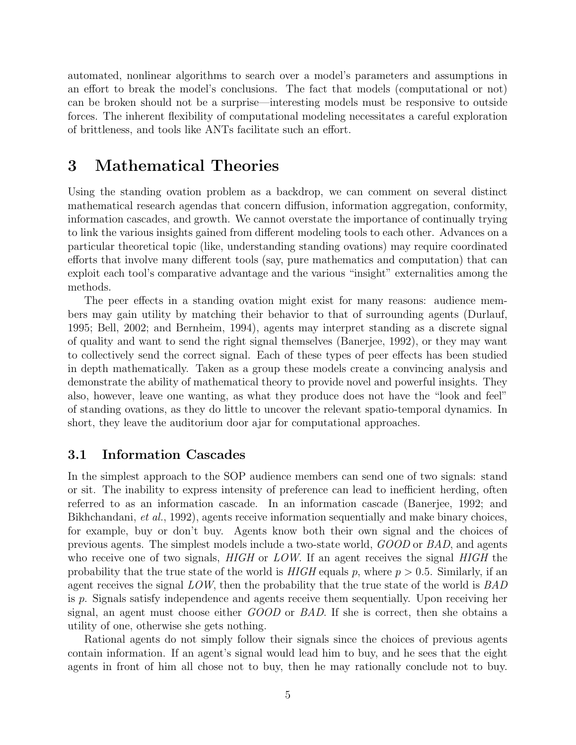automated, nonlinear algorithms to search over a model's parameters and assumptions in an effort to break the model's conclusions. The fact that models (computational or not) can be broken should not be a surprise—interesting models must be responsive to outside forces. The inherent flexibility of computational modeling necessitates a careful exploration of brittleness, and tools like ANTs facilitate such an effort.

### 3 Mathematical Theories

Using the standing ovation problem as a backdrop, we can comment on several distinct mathematical research agendas that concern diffusion, information aggregation, conformity, information cascades, and growth. We cannot overstate the importance of continually trying to link the various insights gained from different modeling tools to each other. Advances on a particular theoretical topic (like, understanding standing ovations) may require coordinated efforts that involve many different tools (say, pure mathematics and computation) that can exploit each tool's comparative advantage and the various "insight" externalities among the methods.

The peer effects in a standing ovation might exist for many reasons: audience members may gain utility by matching their behavior to that of surrounding agents (Durlauf, 1995; Bell, 2002; and Bernheim, 1994), agents may interpret standing as a discrete signal of quality and want to send the right signal themselves (Banerjee, 1992), or they may want to collectively send the correct signal. Each of these types of peer effects has been studied in depth mathematically. Taken as a group these models create a convincing analysis and demonstrate the ability of mathematical theory to provide novel and powerful insights. They also, however, leave one wanting, as what they produce does not have the "look and feel" of standing ovations, as they do little to uncover the relevant spatio-temporal dynamics. In short, they leave the auditorium door ajar for computational approaches.

### 3.1 Information Cascades

In the simplest approach to the SOP audience members can send one of two signals: stand or sit. The inability to express intensity of preference can lead to inefficient herding, often referred to as an information cascade. In an information cascade (Banerjee, 1992; and Bikhchandani, *et al.*, 1992), agents receive information sequentially and make binary choices, for example, buy or don't buy. Agents know both their own signal and the choices of previous agents. The simplest models include a two-state world, GOOD or BAD, and agents who receive one of two signals, HIGH or LOW. If an agent receives the signal HIGH the probability that the true state of the world is  $HIGH$  equals p, where  $p > 0.5$ . Similarly, if an agent receives the signal  $LOW$ , then the probability that the true state of the world is  $BAD$ is p. Signals satisfy independence and agents receive them sequentially. Upon receiving her signal, an agent must choose either GOOD or BAD. If she is correct, then she obtains a utility of one, otherwise she gets nothing.

Rational agents do not simply follow their signals since the choices of previous agents contain information. If an agent's signal would lead him to buy, and he sees that the eight agents in front of him all chose not to buy, then he may rationally conclude not to buy.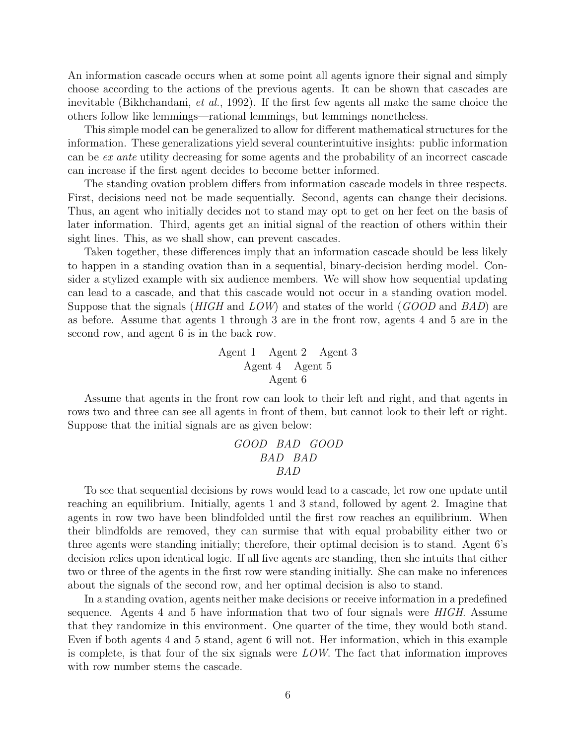An information cascade occurs when at some point all agents ignore their signal and simply choose according to the actions of the previous agents. It can be shown that cascades are inevitable (Bikhchandani, et al., 1992). If the first few agents all make the same choice the others follow like lemmings—rational lemmings, but lemmings nonetheless.

This simple model can be generalized to allow for different mathematical structures for the information. These generalizations yield several counterintuitive insights: public information can be ex ante utility decreasing for some agents and the probability of an incorrect cascade can increase if the first agent decides to become better informed.

The standing ovation problem differs from information cascade models in three respects. First, decisions need not be made sequentially. Second, agents can change their decisions. Thus, an agent who initially decides not to stand may opt to get on her feet on the basis of later information. Third, agents get an initial signal of the reaction of others within their sight lines. This, as we shall show, can prevent cascades.

Taken together, these differences imply that an information cascade should be less likely to happen in a standing ovation than in a sequential, binary-decision herding model. Consider a stylized example with six audience members. We will show how sequential updating can lead to a cascade, and that this cascade would not occur in a standing ovation model. Suppose that the signals ( $HIGH$  and  $LOW$ ) and states of the world ( $GOOD$ ) and  $BAD$ ) are as before. Assume that agents 1 through 3 are in the front row, agents 4 and 5 are in the second row, and agent 6 is in the back row.

> Agent 1 Agent 2 Agent 3 Agent 4 Agent 5 Agent 6

Assume that agents in the front row can look to their left and right, and that agents in rows two and three can see all agents in front of them, but cannot look to their left or right. Suppose that the initial signals are as given below:

$$
\begin{matrix\mathit{GOOD} &\mathit{BAD} &\mathit{GOOD} \\ \mathit{BAD} &\mathit{BAD} \\ \mathit{BAD}\end{matrix}
$$

To see that sequential decisions by rows would lead to a cascade, let row one update until reaching an equilibrium. Initially, agents 1 and 3 stand, followed by agent 2. Imagine that agents in row two have been blindfolded until the first row reaches an equilibrium. When their blindfolds are removed, they can surmise that with equal probability either two or three agents were standing initially; therefore, their optimal decision is to stand. Agent 6's decision relies upon identical logic. If all five agents are standing, then she intuits that either two or three of the agents in the first row were standing initially. She can make no inferences about the signals of the second row, and her optimal decision is also to stand.

In a standing ovation, agents neither make decisions or receive information in a predefined sequence. Agents 4 and 5 have information that two of four signals were HIGH. Assume that they randomize in this environment. One quarter of the time, they would both stand. Even if both agents 4 and 5 stand, agent 6 will not. Her information, which in this example is complete, is that four of the six signals were LOW. The fact that information improves with row number stems the cascade.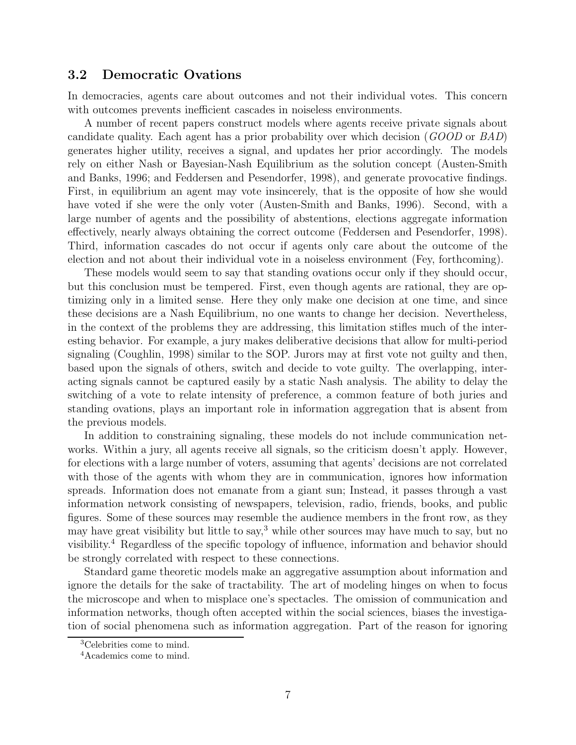#### 3.2 Democratic Ovations

In democracies, agents care about outcomes and not their individual votes. This concern with outcomes prevents inefficient cascades in noiseless environments.

A number of recent papers construct models where agents receive private signals about candidate quality. Each agent has a prior probability over which decision (GOOD or BAD) generates higher utility, receives a signal, and updates her prior accordingly. The models rely on either Nash or Bayesian-Nash Equilibrium as the solution concept (Austen-Smith and Banks, 1996; and Feddersen and Pesendorfer, 1998), and generate provocative findings. First, in equilibrium an agent may vote insincerely, that is the opposite of how she would have voted if she were the only voter (Austen-Smith and Banks, 1996). Second, with a large number of agents and the possibility of abstentions, elections aggregate information effectively, nearly always obtaining the correct outcome (Feddersen and Pesendorfer, 1998). Third, information cascades do not occur if agents only care about the outcome of the election and not about their individual vote in a noiseless environment (Fey, forthcoming).

These models would seem to say that standing ovations occur only if they should occur, but this conclusion must be tempered. First, even though agents are rational, they are optimizing only in a limited sense. Here they only make one decision at one time, and since these decisions are a Nash Equilibrium, no one wants to change her decision. Nevertheless, in the context of the problems they are addressing, this limitation stifles much of the interesting behavior. For example, a jury makes deliberative decisions that allow for multi-period signaling (Coughlin, 1998) similar to the SOP. Jurors may at first vote not guilty and then, based upon the signals of others, switch and decide to vote guilty. The overlapping, interacting signals cannot be captured easily by a static Nash analysis. The ability to delay the switching of a vote to relate intensity of preference, a common feature of both juries and standing ovations, plays an important role in information aggregation that is absent from the previous models.

In addition to constraining signaling, these models do not include communication networks. Within a jury, all agents receive all signals, so the criticism doesn't apply. However, for elections with a large number of voters, assuming that agents' decisions are not correlated with those of the agents with whom they are in communication, ignores how information spreads. Information does not emanate from a giant sun; Instead, it passes through a vast information network consisting of newspapers, television, radio, friends, books, and public figures. Some of these sources may resemble the audience members in the front row, as they may have great visibility but little to say, <sup>3</sup> while other sources may have much to say, but no visibility. <sup>4</sup> Regardless of the specific topology of influence, information and behavior should be strongly correlated with respect to these connections.

Standard game theoretic models make an aggregative assumption about information and ignore the details for the sake of tractability. The art of modeling hinges on when to focus the microscope and when to misplace one's spectacles. The omission of communication and information networks, though often accepted within the social sciences, biases the investigation of social phenomena such as information aggregation. Part of the reason for ignoring

<sup>3</sup>Celebrities come to mind.

<sup>4</sup>Academics come to mind.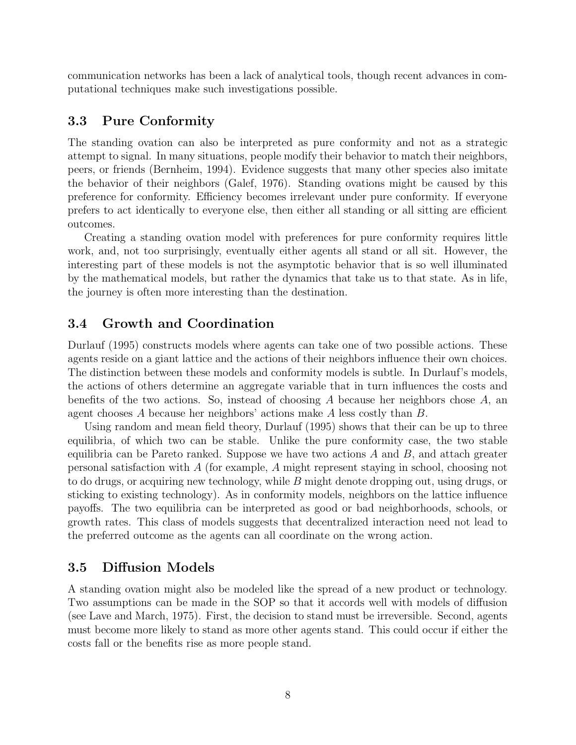communication networks has been a lack of analytical tools, though recent advances in computational techniques make such investigations possible.

### 3.3 Pure Conformity

The standing ovation can also be interpreted as pure conformity and not as a strategic attempt to signal. In many situations, people modify their behavior to match their neighbors, peers, or friends (Bernheim, 1994). Evidence suggests that many other species also imitate the behavior of their neighbors (Galef, 1976). Standing ovations might be caused by this preference for conformity. Efficiency becomes irrelevant under pure conformity. If everyone prefers to act identically to everyone else, then either all standing or all sitting are efficient outcomes.

Creating a standing ovation model with preferences for pure conformity requires little work, and, not too surprisingly, eventually either agents all stand or all sit. However, the interesting part of these models is not the asymptotic behavior that is so well illuminated by the mathematical models, but rather the dynamics that take us to that state. As in life, the journey is often more interesting than the destination.

#### 3.4 Growth and Coordination

Durlauf (1995) constructs models where agents can take one of two possible actions. These agents reside on a giant lattice and the actions of their neighbors influence their own choices. The distinction between these models and conformity models is subtle. In Durlauf's models, the actions of others determine an aggregate variable that in turn influences the costs and benefits of the two actions. So, instead of choosing A because her neighbors chose  $A$ , an agent chooses A because her neighbors' actions make A less costly than B.

Using random and mean field theory, Durlauf (1995) shows that their can be up to three equilibria, of which two can be stable. Unlike the pure conformity case, the two stable equilibria can be Pareto ranked. Suppose we have two actions  $A$  and  $B$ , and attach greater personal satisfaction with A (for example, A might represent staying in school, choosing not to do drugs, or acquiring new technology, while B might denote dropping out, using drugs, or sticking to existing technology). As in conformity models, neighbors on the lattice influence payoffs. The two equilibria can be interpreted as good or bad neighborhoods, schools, or growth rates. This class of models suggests that decentralized interaction need not lead to the preferred outcome as the agents can all coordinate on the wrong action.

#### 3.5 Diffusion Models

A standing ovation might also be modeled like the spread of a new product or technology. Two assumptions can be made in the SOP so that it accords well with models of diffusion (see Lave and March, 1975). First, the decision to stand must be irreversible. Second, agents must become more likely to stand as more other agents stand. This could occur if either the costs fall or the benefits rise as more people stand.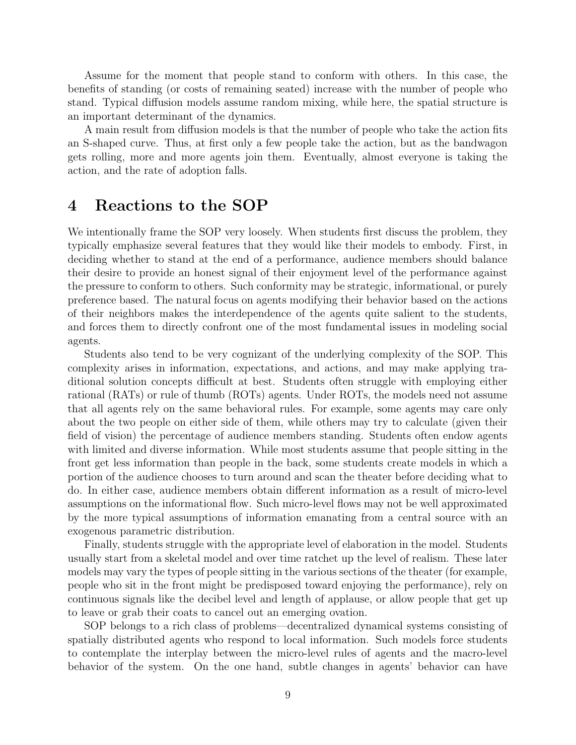Assume for the moment that people stand to conform with others. In this case, the benefits of standing (or costs of remaining seated) increase with the number of people who stand. Typical diffusion models assume random mixing, while here, the spatial structure is an important determinant of the dynamics.

A main result from diffusion models is that the number of people who take the action fits an S-shaped curve. Thus, at first only a few people take the action, but as the bandwagon gets rolling, more and more agents join them. Eventually, almost everyone is taking the action, and the rate of adoption falls.

### 4 Reactions to the SOP

We intentionally frame the SOP very loosely. When students first discuss the problem, they typically emphasize several features that they would like their models to embody. First, in deciding whether to stand at the end of a performance, audience members should balance their desire to provide an honest signal of their enjoyment level of the performance against the pressure to conform to others. Such conformity may be strategic, informational, or purely preference based. The natural focus on agents modifying their behavior based on the actions of their neighbors makes the interdependence of the agents quite salient to the students, and forces them to directly confront one of the most fundamental issues in modeling social agents.

Students also tend to be very cognizant of the underlying complexity of the SOP. This complexity arises in information, expectations, and actions, and may make applying traditional solution concepts difficult at best. Students often struggle with employing either rational (RATs) or rule of thumb (ROTs) agents. Under ROTs, the models need not assume that all agents rely on the same behavioral rules. For example, some agents may care only about the two people on either side of them, while others may try to calculate (given their field of vision) the percentage of audience members standing. Students often endow agents with limited and diverse information. While most students assume that people sitting in the front get less information than people in the back, some students create models in which a portion of the audience chooses to turn around and scan the theater before deciding what to do. In either case, audience members obtain different information as a result of micro-level assumptions on the informational flow. Such micro-level flows may not be well approximated by the more typical assumptions of information emanating from a central source with an exogenous parametric distribution.

Finally, students struggle with the appropriate level of elaboration in the model. Students usually start from a skeletal model and over time ratchet up the level of realism. These later models may vary the types of people sitting in the various sections of the theater (for example, people who sit in the front might be predisposed toward enjoying the performance), rely on continuous signals like the decibel level and length of applause, or allow people that get up to leave or grab their coats to cancel out an emerging ovation.

SOP belongs to a rich class of problems—decentralized dynamical systems consisting of spatially distributed agents who respond to local information. Such models force students to contemplate the interplay between the micro-level rules of agents and the macro-level behavior of the system. On the one hand, subtle changes in agents' behavior can have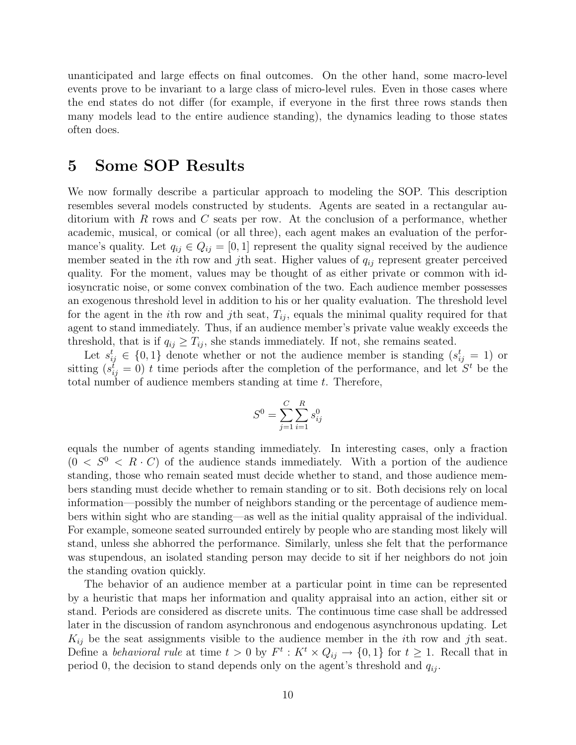unanticipated and large effects on final outcomes. On the other hand, some macro-level events prove to be invariant to a large class of micro-level rules. Even in those cases where the end states do not differ (for example, if everyone in the first three rows stands then many models lead to the entire audience standing), the dynamics leading to those states often does.

### 5 Some SOP Results

We now formally describe a particular approach to modeling the SOP. This description resembles several models constructed by students. Agents are seated in a rectangular auditorium with R rows and C seats per row. At the conclusion of a performance, whether academic, musical, or comical (or all three), each agent makes an evaluation of the performance's quality. Let  $q_{ij} \in Q_{ij} = [0, 1]$  represent the quality signal received by the audience member seated in the *i*th row and *j*th seat. Higher values of  $q_{ij}$  represent greater perceived quality. For the moment, values may be thought of as either private or common with idiosyncratic noise, or some convex combination of the two. Each audience member possesses an exogenous threshold level in addition to his or her quality evaluation. The threshold level for the agent in the *i*th row and *j*th seat,  $T_{ij}$ , equals the minimal quality required for that agent to stand immediately. Thus, if an audience member's private value weakly exceeds the threshold, that is if  $q_{ij} \geq T_{ij}$ , she stands immediately. If not, she remains seated.

Let  $s_{ij}^t \in \{0,1\}$  denote whether or not the audience member is standing  $(s_{ij}^t = 1)$  or sitting  $(s_{ij}^{\tilde{t}} = 0)$  t time periods after the completion of the performance, and let  $S^t$  be the total number of audience members standing at time  $t$ . Therefore,

$$
S^{0} = \sum_{j=1}^{C} \sum_{i=1}^{R} s_{ij}^{0}
$$

equals the number of agents standing immediately. In interesting cases, only a fraction  $(0 \lt S^0 \lt R \cdot C)$  of the audience stands immediately. With a portion of the audience standing, those who remain seated must decide whether to stand, and those audience members standing must decide whether to remain standing or to sit. Both decisions rely on local information—possibly the number of neighbors standing or the percentage of audience members within sight who are standing—as well as the initial quality appraisal of the individual. For example, someone seated surrounded entirely by people who are standing most likely will stand, unless she abhorred the performance. Similarly, unless she felt that the performance was stupendous, an isolated standing person may decide to sit if her neighbors do not join the standing ovation quickly.

The behavior of an audience member at a particular point in time can be represented by a heuristic that maps her information and quality appraisal into an action, either sit or stand. Periods are considered as discrete units. The continuous time case shall be addressed later in the discussion of random asynchronous and endogenous asynchronous updating. Let  $K_{ij}$  be the seat assignments visible to the audience member in the *i*th row and *j*th seat. Define a *behavioral rule* at time  $t > 0$  by  $F^t : K^t \times Q_{ij} \to \{0, 1\}$  for  $t \ge 1$ . Recall that in period 0, the decision to stand depends only on the agent's threshold and  $q_{ij}$ .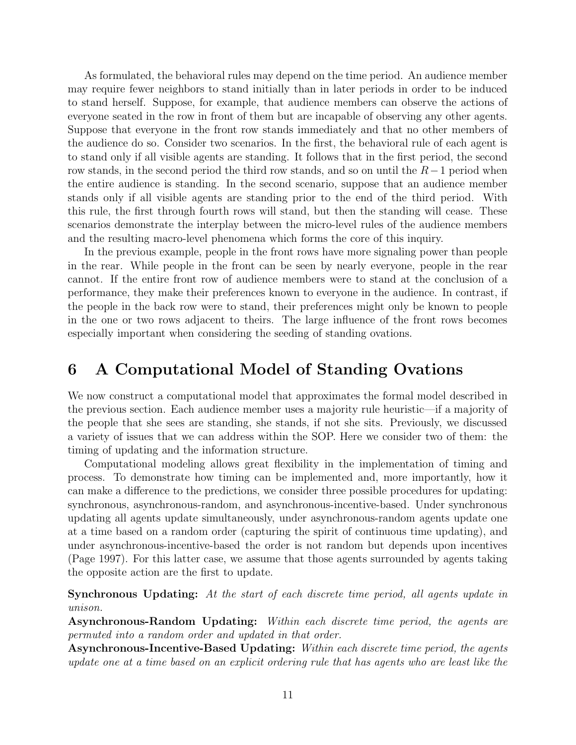As formulated, the behavioral rules may depend on the time period. An audience member may require fewer neighbors to stand initially than in later periods in order to be induced to stand herself. Suppose, for example, that audience members can observe the actions of everyone seated in the row in front of them but are incapable of observing any other agents. Suppose that everyone in the front row stands immediately and that no other members of the audience do so. Consider two scenarios. In the first, the behavioral rule of each agent is to stand only if all visible agents are standing. It follows that in the first period, the second row stands, in the second period the third row stands, and so on until the  $R-1$  period when the entire audience is standing. In the second scenario, suppose that an audience member stands only if all visible agents are standing prior to the end of the third period. With this rule, the first through fourth rows will stand, but then the standing will cease. These scenarios demonstrate the interplay between the micro-level rules of the audience members and the resulting macro-level phenomena which forms the core of this inquiry.

In the previous example, people in the front rows have more signaling power than people in the rear. While people in the front can be seen by nearly everyone, people in the rear cannot. If the entire front row of audience members were to stand at the conclusion of a performance, they make their preferences known to everyone in the audience. In contrast, if the people in the back row were to stand, their preferences might only be known to people in the one or two rows adjacent to theirs. The large influence of the front rows becomes especially important when considering the seeding of standing ovations.

### 6 A Computational Model of Standing Ovations

We now construct a computational model that approximates the formal model described in the previous section. Each audience member uses a majority rule heuristic—if a majority of the people that she sees are standing, she stands, if not she sits. Previously, we discussed a variety of issues that we can address within the SOP. Here we consider two of them: the timing of updating and the information structure.

Computational modeling allows great flexibility in the implementation of timing and process. To demonstrate how timing can be implemented and, more importantly, how it can make a difference to the predictions, we consider three possible procedures for updating: synchronous, asynchronous-random, and asynchronous-incentive-based. Under synchronous updating all agents update simultaneously, under asynchronous-random agents update one at a time based on a random order (capturing the spirit of continuous time updating), and under asynchronous-incentive-based the order is not random but depends upon incentives (Page 1997). For this latter case, we assume that those agents surrounded by agents taking the opposite action are the first to update.

Synchronous Updating: At the start of each discrete time period, all agents update in unison.

Asynchronous-Random Updating: Within each discrete time period, the agents are permuted into a random order and updated in that order.

Asynchronous-Incentive-Based Updating: Within each discrete time period, the agents update one at a time based on an explicit ordering rule that has agents who are least like the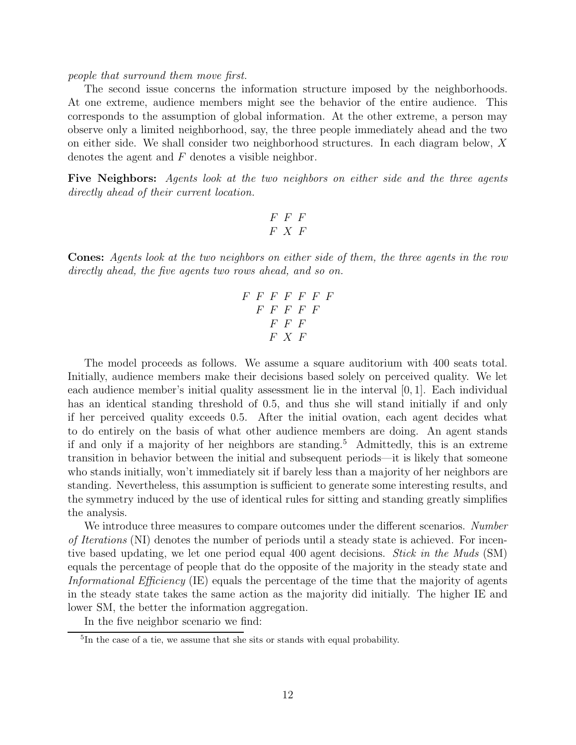people that surround them move first.

The second issue concerns the information structure imposed by the neighborhoods. At one extreme, audience members might see the behavior of the entire audience. This corresponds to the assumption of global information. At the other extreme, a person may observe only a limited neighborhood, say, the three people immediately ahead and the two on either side. We shall consider two neighborhood structures. In each diagram below, X denotes the agent and  $F$  denotes a visible neighbor.

Five Neighbors: Agents look at the two neighbors on either side and the three agents directly ahead of their current location.

$$
\begin{array}{c} F \;\; F \;\; F \\ F \;\; X \;\; F \end{array}
$$

Cones: Agents look at the two neighbors on either side of them, the three agents in the row directly ahead, the five agents two rows ahead, and so on.

F F F F F F F F F F F F F F F F X F

The model proceeds as follows. We assume a square auditorium with 400 seats total. Initially, audience members make their decisions based solely on perceived quality. We let each audience member's initial quality assessment lie in the interval  $[0, 1]$ . Each individual has an identical standing threshold of 0.5, and thus she will stand initially if and only if her perceived quality exceeds 0.5. After the initial ovation, each agent decides what to do entirely on the basis of what other audience members are doing. An agent stands if and only if a majority of her neighbors are standing.<sup>5</sup> Admittedly, this is an extreme transition in behavior between the initial and subsequent periods—it is likely that someone who stands initially, won't immediately sit if barely less than a majority of her neighbors are standing. Nevertheless, this assumption is sufficient to generate some interesting results, and the symmetry induced by the use of identical rules for sitting and standing greatly simplifies the analysis.

We introduce three measures to compare outcomes under the different scenarios. Number of Iterations (NI) denotes the number of periods until a steady state is achieved. For incentive based updating, we let one period equal 400 agent decisions. Stick in the Muds (SM) equals the percentage of people that do the opposite of the majority in the steady state and Informational Efficiency (IE) equals the percentage of the time that the majority of agents in the steady state takes the same action as the majority did initially. The higher IE and lower SM, the better the information aggregation.

In the five neighbor scenario we find:

<sup>5</sup> In the case of a tie, we assume that she sits or stands with equal probability.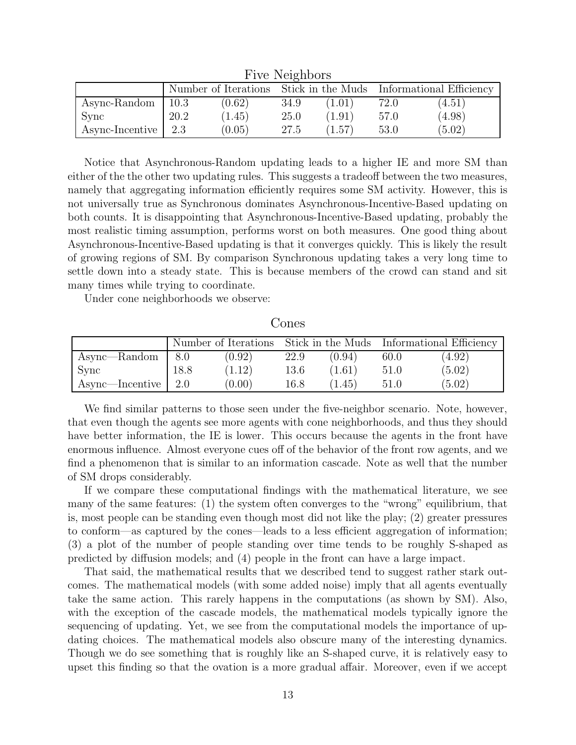Number of Iterations Stick in the Muds Informational Efficiency Async-Random 10.3 (0.62) 34.9 (1.01) 72.0 (4.51) Sync  $\begin{array}{|l} \text{20.2} \text{ (1.45)} \text{ 25.0} \text{ (1.91)} \text{ 57.0} \text{ (4.98)} \end{array}$ Async-Incentive 2.3 (0.05) 27.5 (1.57) 53.0 (5.02)

Five Neighbors

Notice that Asynchronous-Random updating leads to a higher IE and more SM than either of the the other two updating rules. This suggests a tradeoff between the two measures, namely that aggregating information efficiently requires some SM activity. However, this is not universally true as Synchronous dominates Asynchronous-Incentive-Based updating on both counts. It is disappointing that Asynchronous-Incentive-Based updating, probably the most realistic timing assumption, performs worst on both measures. One good thing about Asynchronous-Incentive-Based updating is that it converges quickly. This is likely the result of growing regions of SM. By comparison Synchronous updating takes a very long time to settle down into a steady state. This is because members of the crowd can stand and sit many times while trying to coordinate.

Under cone neighborhoods we observe:

Cones

|                 | Number of Iterations Stick in the Muds |        |      |        | Informational Efficiency |        |
|-----------------|----------------------------------------|--------|------|--------|--------------------------|--------|
| Async—Random    | -8.0                                   | (0.92) | 22.9 | (0.94) | 60.0                     | (4.92) |
| Sync            | 18.8                                   | 1.12)  | 13.6 | (1.61) | 51.0                     | (5.02) |
| Async—Incentive | 2.0                                    | (0.00) | 16.8 | (1.45) | 51.0                     | (5.02) |

We find similar patterns to those seen under the five-neighbor scenario. Note, however, that even though the agents see more agents with cone neighborhoods, and thus they should have better information, the IE is lower. This occurs because the agents in the front have enormous influence. Almost everyone cues off of the behavior of the front row agents, and we find a phenomenon that is similar to an information cascade. Note as well that the number of SM drops considerably.

If we compare these computational findings with the mathematical literature, we see many of the same features: (1) the system often converges to the "wrong" equilibrium, that is, most people can be standing even though most did not like the play; (2) greater pressures to conform—as captured by the cones—leads to a less efficient aggregation of information; (3) a plot of the number of people standing over time tends to be roughly S-shaped as predicted by diffusion models; and (4) people in the front can have a large impact.

That said, the mathematical results that we described tend to suggest rather stark outcomes. The mathematical models (with some added noise) imply that all agents eventually take the same action. This rarely happens in the computations (as shown by SM). Also, with the exception of the cascade models, the mathematical models typically ignore the sequencing of updating. Yet, we see from the computational models the importance of updating choices. The mathematical models also obscure many of the interesting dynamics. Though we do see something that is roughly like an S-shaped curve, it is relatively easy to upset this finding so that the ovation is a more gradual affair. Moreover, even if we accept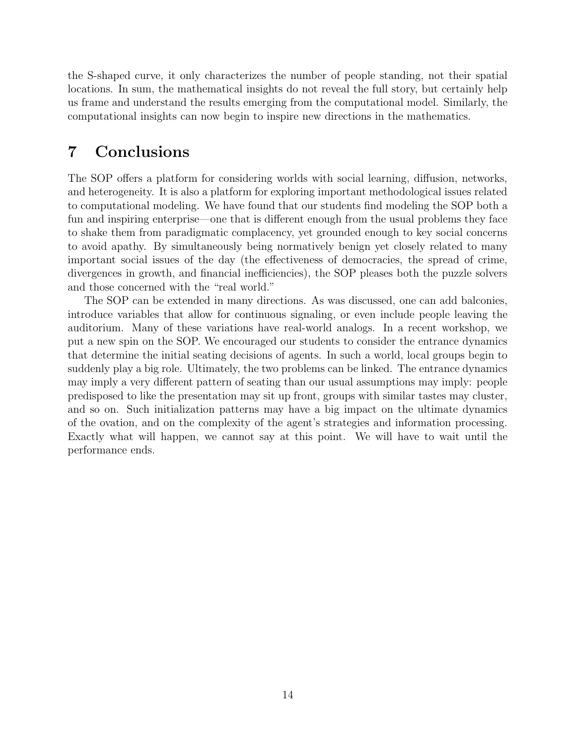the S-shaped curve, it only characterizes the number of people standing, not their spatial locations. In sum, the mathematical insights do not reveal the full story, but certainly help us frame and understand the results emerging from the computational model. Similarly, the computational insights can now begin to inspire new directions in the mathematics.

## 7 Conclusions

The SOP offers a platform for considering worlds with social learning, diffusion, networks, and heterogeneity. It is also a platform for exploring important methodological issues related to computational modeling. We have found that our students find modeling the SOP both a fun and inspiring enterprise—one that is different enough from the usual problems they face to shake them from paradigmatic complacency, yet grounded enough to key social concerns to avoid apathy. By simultaneously being normatively benign yet closely related to many important social issues of the day (the effectiveness of democracies, the spread of crime, divergences in growth, and financial inefficiencies), the SOP pleases both the puzzle solvers and those concerned with the "real world."

The SOP can be extended in many directions. As was discussed, one can add balconies, introduce variables that allow for continuous signaling, or even include people leaving the auditorium. Many of these variations have real-world analogs. In a recent workshop, we put a new spin on the SOP. We encouraged our students to consider the entrance dynamics that determine the initial seating decisions of agents. In such a world, local groups begin to suddenly play a big role. Ultimately, the two problems can be linked. The entrance dynamics may imply a very different pattern of seating than our usual assumptions may imply: people predisposed to like the presentation may sit up front, groups with similar tastes may cluster, and so on. Such initialization patterns may have a big impact on the ultimate dynamics of the ovation, and on the complexity of the agent's strategies and information processing. Exactly what will happen, we cannot say at this point. We will have to wait until the performance ends.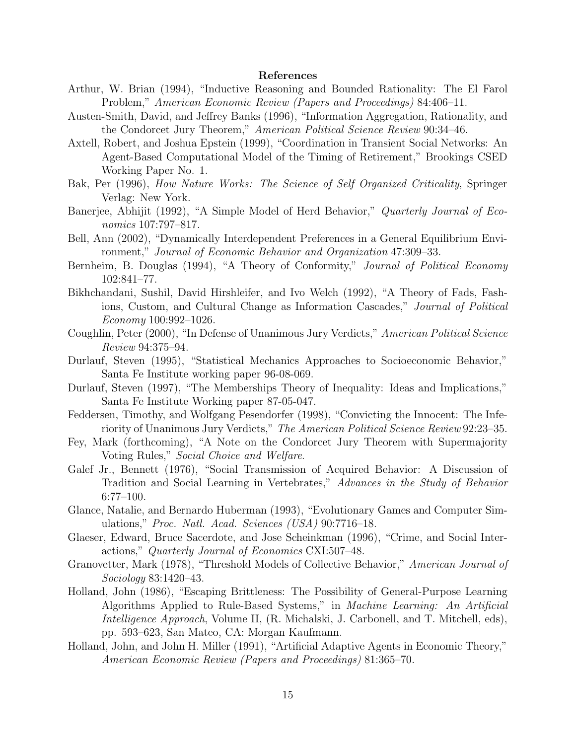#### References

- Arthur, W. Brian (1994), "Inductive Reasoning and Bounded Rationality: The El Farol Problem," American Economic Review (Papers and Proceedings) 84:406–11.
- Austen-Smith, David, and Jeffrey Banks (1996), "Information Aggregation, Rationality, and the Condorcet Jury Theorem," American Political Science Review 90:34–46.
- Axtell, Robert, and Joshua Epstein (1999), "Coordination in Transient Social Networks: An Agent-Based Computational Model of the Timing of Retirement," Brookings CSED Working Paper No. 1.
- Bak, Per (1996), How Nature Works: The Science of Self Organized Criticality, Springer Verlag: New York.
- Banerjee, Abhijit (1992), "A Simple Model of Herd Behavior," Quarterly Journal of Economics 107:797–817.
- Bell, Ann (2002), "Dynamically Interdependent Preferences in a General Equilibrium Environment," Journal of Economic Behavior and Organization 47:309–33.
- Bernheim, B. Douglas (1994), "A Theory of Conformity," Journal of Political Economy 102:841–77.
- Bikhchandani, Sushil, David Hirshleifer, and Ivo Welch (1992), "A Theory of Fads, Fashions, Custom, and Cultural Change as Information Cascades," Journal of Political Economy 100:992–1026.
- Coughlin, Peter (2000), "In Defense of Unanimous Jury Verdicts," American Political Science Review 94:375–94.
- Durlauf, Steven (1995), "Statistical Mechanics Approaches to Socioeconomic Behavior," Santa Fe Institute working paper 96-08-069.
- Durlauf, Steven (1997), "The Memberships Theory of Inequality: Ideas and Implications," Santa Fe Institute Working paper 87-05-047.
- Feddersen, Timothy, and Wolfgang Pesendorfer (1998), "Convicting the Innocent: The Inferiority of Unanimous Jury Verdicts," The American Political Science Review 92:23–35.
- Fey, Mark (forthcoming), "A Note on the Condorcet Jury Theorem with Supermajority Voting Rules," Social Choice and Welfare.
- Galef Jr., Bennett (1976), "Social Transmission of Acquired Behavior: A Discussion of Tradition and Social Learning in Vertebrates," Advances in the Study of Behavior 6:77–100.
- Glance, Natalie, and Bernardo Huberman (1993), "Evolutionary Games and Computer Simulations," Proc. Natl. Acad. Sciences (USA) 90:7716–18.
- Glaeser, Edward, Bruce Sacerdote, and Jose Scheinkman (1996), "Crime, and Social Interactions," Quarterly Journal of Economics CXI:507–48.
- Granovetter, Mark (1978), "Threshold Models of Collective Behavior," American Journal of Sociology 83:1420–43.
- Holland, John (1986), "Escaping Brittleness: The Possibility of General-Purpose Learning Algorithms Applied to Rule-Based Systems," in Machine Learning: An Artificial Intelligence Approach, Volume II, (R. Michalski, J. Carbonell, and T. Mitchell, eds), pp. 593–623, San Mateo, CA: Morgan Kaufmann.
- Holland, John, and John H. Miller (1991), "Artificial Adaptive Agents in Economic Theory," American Economic Review (Papers and Proceedings) 81:365–70.